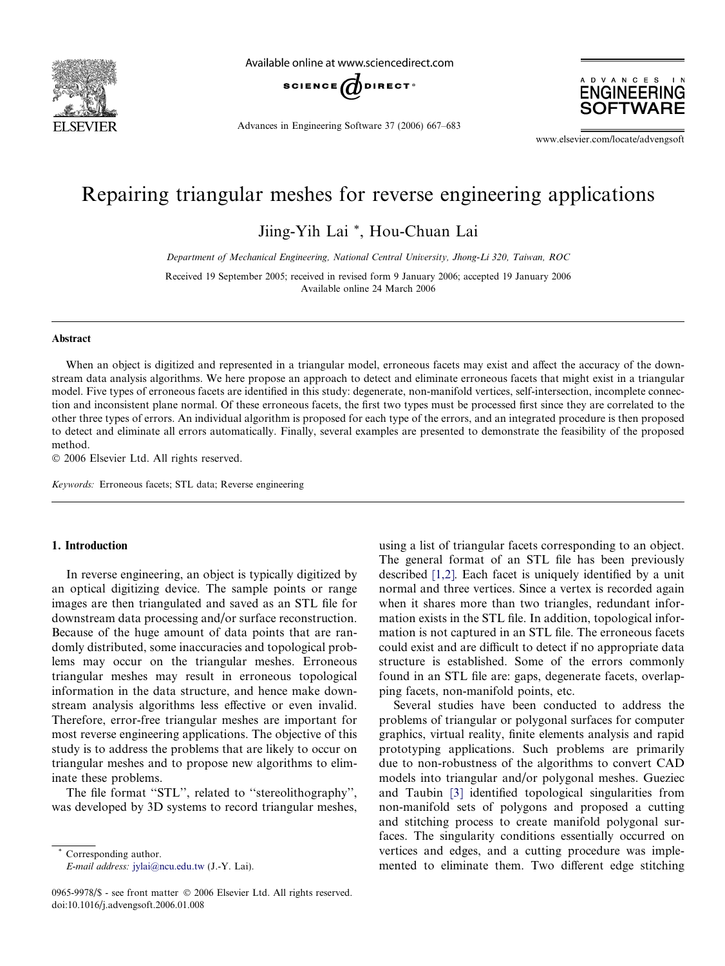

Available online at www.sciencedirect.com



Advances in Engineering Software 37 (2006) 667–683

A D V A N C E S **ENGINEERING SOFTWARE** 

www.elsevier.com/locate/advengsoft

## Repairing triangular meshes for reverse engineering applications

Jiing-Yih Lai \*, Hou-Chuan Lai

Department of Mechanical Engineering, National Central University, Jhong-Li 320, Taiwan, ROC

Received 19 September 2005; received in revised form 9 January 2006; accepted 19 January 2006 Available online 24 March 2006

## Abstract

When an object is digitized and represented in a triangular model, erroneous facets may exist and affect the accuracy of the downstream data analysis algorithms. We here propose an approach to detect and eliminate erroneous facets that might exist in a triangular model. Five types of erroneous facets are identified in this study: degenerate, non-manifold vertices, self-intersection, incomplete connection and inconsistent plane normal. Of these erroneous facets, the first two types must be processed first since they are correlated to the other three types of errors. An individual algorithm is proposed for each type of the errors, and an integrated procedure is then proposed to detect and eliminate all errors automatically. Finally, several examples are presented to demonstrate the feasibility of the proposed method.

 $© 2006 Elsevier Ltd. All rights reserved.$ 

Keywords: Erroneous facets; STL data; Reverse engineering

## 1. Introduction

In reverse engineering, an object is typically digitized by an optical digitizing device. The sample points or range images are then triangulated and saved as an STL file for downstream data processing and/or surface reconstruction. Because of the huge amount of data points that are randomly distributed, some inaccuracies and topological problems may occur on the triangular meshes. Erroneous triangular meshes may result in erroneous topological information in the data structure, and hence make downstream analysis algorithms less effective or even invalid. Therefore, error-free triangular meshes are important for most reverse engineering applications. The objective of this study is to address the problems that are likely to occur on triangular meshes and to propose new algorithms to eliminate these problems.

The file format ''STL'', related to ''stereolithography'', was developed by 3D systems to record triangular meshes,

Corresponding author. E-mail address: [jylai@ncu.edu.tw](mailto:jylai@ncu.edu.tw) (J.-Y. Lai).

0965-9978/\$ - see front matter © 2006 Elsevier Ltd. All rights reserved. doi:10.1016/j.advengsoft.2006.01.008

using a list of triangular facets corresponding to an object. The general format of an STL file has been previously described [\[1,2\]](#page--1-0). Each facet is uniquely identified by a unit normal and three vertices. Since a vertex is recorded again when it shares more than two triangles, redundant information exists in the STL file. In addition, topological information is not captured in an STL file. The erroneous facets could exist and are difficult to detect if no appropriate data structure is established. Some of the errors commonly found in an STL file are: gaps, degenerate facets, overlapping facets, non-manifold points, etc.

Several studies have been conducted to address the problems of triangular or polygonal surfaces for computer graphics, virtual reality, finite elements analysis and rapid prototyping applications. Such problems are primarily due to non-robustness of the algorithms to convert CAD models into triangular and/or polygonal meshes. Gueziec and Taubin [\[3\]](#page--1-0) identified topological singularities from non-manifold sets of polygons and proposed a cutting and stitching process to create manifold polygonal surfaces. The singularity conditions essentially occurred on vertices and edges, and a cutting procedure was implemented to eliminate them. Two different edge stitching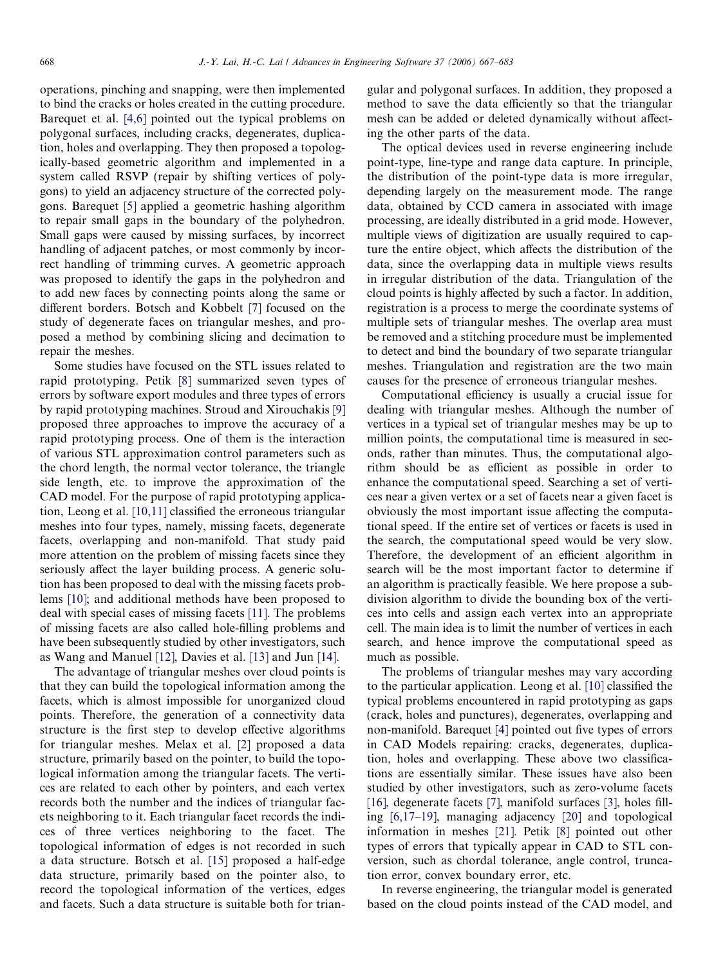operations, pinching and snapping, were then implemented to bind the cracks or holes created in the cutting procedure. Barequet et al. [\[4,6\]](#page--1-0) pointed out the typical problems on polygonal surfaces, including cracks, degenerates, duplication, holes and overlapping. They then proposed a topologically-based geometric algorithm and implemented in a system called RSVP (repair by shifting vertices of polygons) to yield an adjacency structure of the corrected polygons. Barequet [\[5\]](#page--1-0) applied a geometric hashing algorithm to repair small gaps in the boundary of the polyhedron. Small gaps were caused by missing surfaces, by incorrect handling of adjacent patches, or most commonly by incorrect handling of trimming curves. A geometric approach was proposed to identify the gaps in the polyhedron and to add new faces by connecting points along the same or different borders. Botsch and Kobbelt [\[7\]](#page--1-0) focused on the study of degenerate faces on triangular meshes, and proposed a method by combining slicing and decimation to repair the meshes.

Some studies have focused on the STL issues related to rapid prototyping. Petik [\[8\]](#page--1-0) summarized seven types of errors by software export modules and three types of errors by rapid prototyping machines. Stroud and Xirouchakis [\[9\]](#page--1-0) proposed three approaches to improve the accuracy of a rapid prototyping process. One of them is the interaction of various STL approximation control parameters such as the chord length, the normal vector tolerance, the triangle side length, etc. to improve the approximation of the CAD model. For the purpose of rapid prototyping application, Leong et al. [\[10,11\]](#page--1-0) classified the erroneous triangular meshes into four types, namely, missing facets, degenerate facets, overlapping and non-manifold. That study paid more attention on the problem of missing facets since they seriously affect the layer building process. A generic solution has been proposed to deal with the missing facets problems [\[10\];](#page--1-0) and additional methods have been proposed to deal with special cases of missing facets [\[11\]](#page--1-0). The problems of missing facets are also called hole-filling problems and have been subsequently studied by other investigators, such as Wang and Manuel [\[12\]](#page--1-0), Davies et al. [\[13\]](#page--1-0) and Jun [\[14\]](#page--1-0).

The advantage of triangular meshes over cloud points is that they can build the topological information among the facets, which is almost impossible for unorganized cloud points. Therefore, the generation of a connectivity data structure is the first step to develop effective algorithms for triangular meshes. Melax et al. [\[2\]](#page--1-0) proposed a data structure, primarily based on the pointer, to build the topological information among the triangular facets. The vertices are related to each other by pointers, and each vertex records both the number and the indices of triangular facets neighboring to it. Each triangular facet records the indices of three vertices neighboring to the facet. The topological information of edges is not recorded in such a data structure. Botsch et al. [\[15\]](#page--1-0) proposed a half-edge data structure, primarily based on the pointer also, to record the topological information of the vertices, edges and facets. Such a data structure is suitable both for triangular and polygonal surfaces. In addition, they proposed a method to save the data efficiently so that the triangular mesh can be added or deleted dynamically without affecting the other parts of the data.

The optical devices used in reverse engineering include point-type, line-type and range data capture. In principle, the distribution of the point-type data is more irregular, depending largely on the measurement mode. The range data, obtained by CCD camera in associated with image processing, are ideally distributed in a grid mode. However, multiple views of digitization are usually required to capture the entire object, which affects the distribution of the data, since the overlapping data in multiple views results in irregular distribution of the data. Triangulation of the cloud points is highly affected by such a factor. In addition, registration is a process to merge the coordinate systems of multiple sets of triangular meshes. The overlap area must be removed and a stitching procedure must be implemented to detect and bind the boundary of two separate triangular meshes. Triangulation and registration are the two main causes for the presence of erroneous triangular meshes.

Computational efficiency is usually a crucial issue for dealing with triangular meshes. Although the number of vertices in a typical set of triangular meshes may be up to million points, the computational time is measured in seconds, rather than minutes. Thus, the computational algorithm should be as efficient as possible in order to enhance the computational speed. Searching a set of vertices near a given vertex or a set of facets near a given facet is obviously the most important issue affecting the computational speed. If the entire set of vertices or facets is used in the search, the computational speed would be very slow. Therefore, the development of an efficient algorithm in search will be the most important factor to determine if an algorithm is practically feasible. We here propose a subdivision algorithm to divide the bounding box of the vertices into cells and assign each vertex into an appropriate cell. The main idea is to limit the number of vertices in each search, and hence improve the computational speed as much as possible.

The problems of triangular meshes may vary according to the particular application. Leong et al. [\[10\]](#page--1-0) classified the typical problems encountered in rapid prototyping as gaps (crack, holes and punctures), degenerates, overlapping and non-manifold. Barequet [\[4\]](#page--1-0) pointed out five types of errors in CAD Models repairing: cracks, degenerates, duplication, holes and overlapping. These above two classifications are essentially similar. These issues have also been studied by other investigators, such as zero-volume facets [\[16\]](#page--1-0), degenerate facets [\[7\],](#page--1-0) manifold surfaces [\[3\],](#page--1-0) holes filling [\[6,17–19\],](#page--1-0) managing adjacency [\[20\]](#page--1-0) and topological information in meshes [\[21\]](#page--1-0). Petik [\[8\]](#page--1-0) pointed out other types of errors that typically appear in CAD to STL conversion, such as chordal tolerance, angle control, truncation error, convex boundary error, etc.

In reverse engineering, the triangular model is generated based on the cloud points instead of the CAD model, and